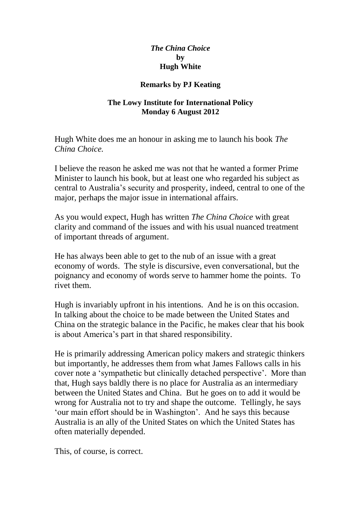## *The China Choice* **by Hugh White**

## **Remarks by PJ Keating**

## **The Lowy Institute for International Policy Monday 6 August 2012**

Hugh White does me an honour in asking me to launch his book *The China Choice.*

I believe the reason he asked me was not that he wanted a former Prime Minister to launch his book, but at least one who regarded his subject as central to Australia's security and prosperity, indeed, central to one of the major, perhaps the major issue in international affairs.

As you would expect, Hugh has written *The China Choice* with great clarity and command of the issues and with his usual nuanced treatment of important threads of argument.

He has always been able to get to the nub of an issue with a great economy of words. The style is discursive, even conversational, but the poignancy and economy of words serve to hammer home the points. To rivet them.

Hugh is invariably upfront in his intentions. And he is on this occasion. In talking about the choice to be made between the United States and China on the strategic balance in the Pacific, he makes clear that his book is about America's part in that shared responsibility.

He is primarily addressing American policy makers and strategic thinkers but importantly, he addresses them from what James Fallows calls in his cover note a 'sympathetic but clinically detached perspective'. More than that, Hugh says baldly there is no place for Australia as an intermediary between the United States and China. But he goes on to add it would be wrong for Australia not to try and shape the outcome. Tellingly, he says 'our main effort should be in Washington'. And he says this because Australia is an ally of the United States on which the United States has often materially depended.

This, of course, is correct.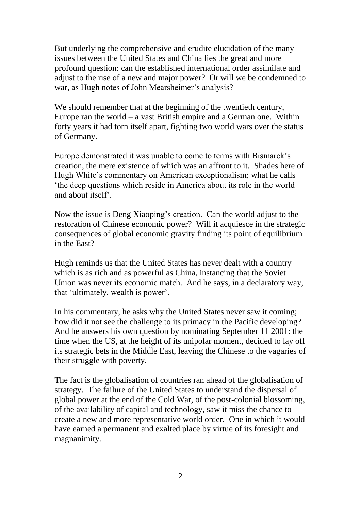But underlying the comprehensive and erudite elucidation of the many issues between the United States and China lies the great and more profound question: can the established international order assimilate and adjust to the rise of a new and major power? Or will we be condemned to war, as Hugh notes of John Mearsheimer's analysis?

We should remember that at the beginning of the twentieth century, Europe ran the world – a vast British empire and a German one. Within forty years it had torn itself apart, fighting two world wars over the status of Germany.

Europe demonstrated it was unable to come to terms with Bismarck's creation, the mere existence of which was an affront to it. Shades here of Hugh White's commentary on American exceptionalism; what he calls 'the deep questions which reside in America about its role in the world and about itself'.

Now the issue is Deng Xiaoping's creation. Can the world adjust to the restoration of Chinese economic power? Will it acquiesce in the strategic consequences of global economic gravity finding its point of equilibrium in the East?

Hugh reminds us that the United States has never dealt with a country which is as rich and as powerful as China, instancing that the Soviet Union was never its economic match. And he says, in a declaratory way, that 'ultimately, wealth is power'.

In his commentary, he asks why the United States never saw it coming; how did it not see the challenge to its primacy in the Pacific developing? And he answers his own question by nominating September 11 2001: the time when the US, at the height of its unipolar moment, decided to lay off its strategic bets in the Middle East, leaving the Chinese to the vagaries of their struggle with poverty.

The fact is the globalisation of countries ran ahead of the globalisation of strategy. The failure of the United States to understand the dispersal of global power at the end of the Cold War, of the post-colonial blossoming, of the availability of capital and technology, saw it miss the chance to create a new and more representative world order. One in which it would have earned a permanent and exalted place by virtue of its foresight and magnanimity.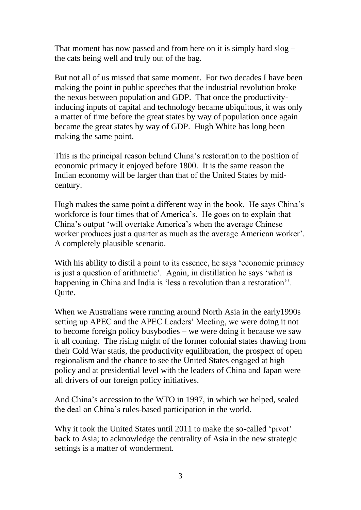That moment has now passed and from here on it is simply hard slog – the cats being well and truly out of the bag.

But not all of us missed that same moment. For two decades I have been making the point in public speeches that the industrial revolution broke the nexus between population and GDP. That once the productivityinducing inputs of capital and technology became ubiquitous, it was only a matter of time before the great states by way of population once again became the great states by way of GDP. Hugh White has long been making the same point.

This is the principal reason behind China's restoration to the position of economic primacy it enjoyed before 1800. It is the same reason the Indian economy will be larger than that of the United States by midcentury.

Hugh makes the same point a different way in the book. He says China's workforce is four times that of America's. He goes on to explain that China's output 'will overtake America's when the average Chinese worker produces just a quarter as much as the average American worker'. A completely plausible scenario.

With his ability to distil a point to its essence, he says 'economic primacy is just a question of arithmetic'. Again, in distillation he says 'what is happening in China and India is 'less a revolution than a restoration''. Quite.

When we Australians were running around North Asia in the early1990s setting up APEC and the APEC Leaders' Meeting, we were doing it not to become foreign policy busybodies – we were doing it because we saw it all coming. The rising might of the former colonial states thawing from their Cold War statis, the productivity equilibration, the prospect of open regionalism and the chance to see the United States engaged at high policy and at presidential level with the leaders of China and Japan were all drivers of our foreign policy initiatives.

And China's accession to the WTO in 1997, in which we helped, sealed the deal on China's rules-based participation in the world.

Why it took the United States until 2011 to make the so-called 'pivot' back to Asia; to acknowledge the centrality of Asia in the new strategic settings is a matter of wonderment.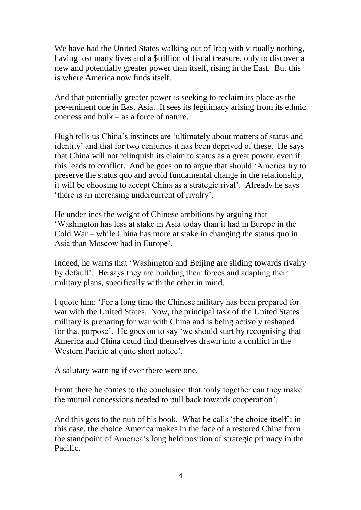We have had the United States walking out of Iraq with virtually nothing, having lost many lives and a \$trillion of fiscal treasure, only to discover a new and potentially greater power than itself, rising in the East. But this is where America now finds itself.

And that potentially greater power is seeking to reclaim its place as the pre-eminent one in East Asia. It sees its legitimacy arising from its ethnic oneness and bulk – as a force of nature.

Hugh tells us China's instincts are 'ultimately about matters of status and identity' and that for two centuries it has been deprived of these. He says that China will not relinquish its claim to status as a great power, even if this leads to conflict. And he goes on to argue that should 'America try to preserve the status quo and avoid fundamental change in the relationship, it will be choosing to accept China as a strategic rival'. Already he says 'there is an increasing undercurrent of rivalry'.

He underlines the weight of Chinese ambitions by arguing that 'Washington has less at stake in Asia today than it had in Europe in the Cold War – while China has more at stake in changing the status quo in Asia than Moscow had in Europe'.

Indeed, he warns that 'Washington and Beijing are sliding towards rivalry by default'. He says they are building their forces and adapting their military plans, specifically with the other in mind.

I quote him: 'For a long time the Chinese military has been prepared for war with the United States. Now, the principal task of the United States military is preparing for war with China and is being actively reshaped for that purpose'. He goes on to say 'we should start by recognising that America and China could find themselves drawn into a conflict in the Western Pacific at quite short notice'.

A salutary warning if ever there were one.

From there he comes to the conclusion that 'only together can they make the mutual concessions needed to pull back towards cooperation'.

And this gets to the nub of his book. What he calls 'the choice itself'; in this case, the choice America makes in the face of a restored China from the standpoint of America's long held position of strategic primacy in the Pacific.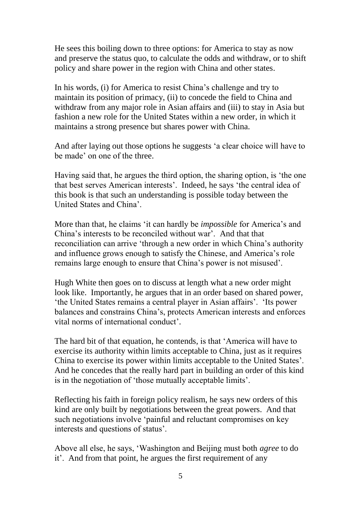He sees this boiling down to three options: for America to stay as now and preserve the status quo, to calculate the odds and withdraw, or to shift policy and share power in the region with China and other states.

In his words, (i) for America to resist China's challenge and try to maintain its position of primacy, (ii) to concede the field to China and withdraw from any major role in Asian affairs and (iii) to stay in Asia but fashion a new role for the United States within a new order, in which it maintains a strong presence but shares power with China.

And after laying out those options he suggests 'a clear choice will have to be made' on one of the three.

Having said that, he argues the third option, the sharing option, is 'the one that best serves American interests'. Indeed, he says 'the central idea of this book is that such an understanding is possible today between the United States and China'.

More than that, he claims 'it can hardly be *impossible* for America's and China's interests to be reconciled without war'. And that that reconciliation can arrive 'through a new order in which China's authority and influence grows enough to satisfy the Chinese, and America's role remains large enough to ensure that China's power is not misused'.

Hugh White then goes on to discuss at length what a new order might look like. Importantly, he argues that in an order based on shared power, 'the United States remains a central player in Asian affairs'. 'Its power balances and constrains China's, protects American interests and enforces vital norms of international conduct'.

The hard bit of that equation, he contends, is that 'America will have to exercise its authority within limits acceptable to China, just as it requires China to exercise its power within limits acceptable to the United States'. And he concedes that the really hard part in building an order of this kind is in the negotiation of 'those mutually acceptable limits'.

Reflecting his faith in foreign policy realism, he says new orders of this kind are only built by negotiations between the great powers. And that such negotiations involve 'painful and reluctant compromises on key interests and questions of status'.

Above all else, he says, 'Washington and Beijing must both *agree* to do it'. And from that point, he argues the first requirement of any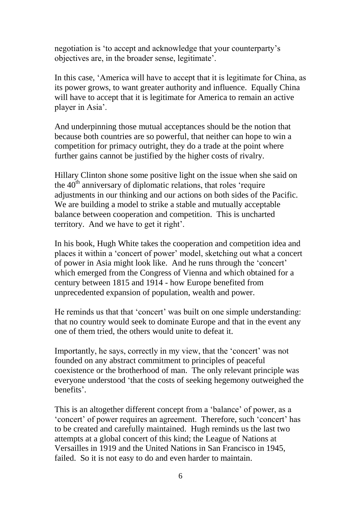negotiation is 'to accept and acknowledge that your counterparty's objectives are, in the broader sense, legitimate'.

In this case, 'America will have to accept that it is legitimate for China, as its power grows, to want greater authority and influence. Equally China will have to accept that it is legitimate for America to remain an active player in Asia'.

And underpinning those mutual acceptances should be the notion that because both countries are so powerful, that neither can hope to win a competition for primacy outright, they do a trade at the point where further gains cannot be justified by the higher costs of rivalry.

Hillary Clinton shone some positive light on the issue when she said on the  $40<sup>th</sup>$  anniversary of diplomatic relations, that roles 'require adjustments in our thinking and our actions on both sides of the Pacific. We are building a model to strike a stable and mutually acceptable balance between cooperation and competition. This is uncharted territory. And we have to get it right'.

In his book, Hugh White takes the cooperation and competition idea and places it within a 'concert of power' model, sketching out what a concert of power in Asia might look like. And he runs through the 'concert' which emerged from the Congress of Vienna and which obtained for a century between 1815 and 1914 - how Europe benefited from unprecedented expansion of population, wealth and power.

He reminds us that that 'concert' was built on one simple understanding: that no country would seek to dominate Europe and that in the event any one of them tried, the others would unite to defeat it.

Importantly, he says, correctly in my view, that the 'concert' was not founded on any abstract commitment to principles of peaceful coexistence or the brotherhood of man. The only relevant principle was everyone understood 'that the costs of seeking hegemony outweighed the benefits'.

This is an altogether different concept from a 'balance' of power, as a 'concert' of power requires an agreement. Therefore, such 'concert' has to be created and carefully maintained. Hugh reminds us the last two attempts at a global concert of this kind; the League of Nations at Versailles in 1919 and the United Nations in San Francisco in 1945, failed. So it is not easy to do and even harder to maintain.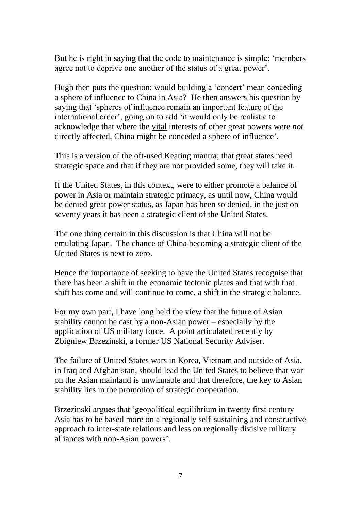But he is right in saying that the code to maintenance is simple: 'members agree not to deprive one another of the status of a great power'.

Hugh then puts the question; would building a 'concert' mean conceding a sphere of influence to China in Asia? He then answers his question by saying that 'spheres of influence remain an important feature of the international order', going on to add 'it would only be realistic to acknowledge that where the vital interests of other great powers were *not* directly affected, China might be conceded a sphere of influence'.

This is a version of the oft-used Keating mantra; that great states need strategic space and that if they are not provided some, they will take it.

If the United States, in this context, were to either promote a balance of power in Asia or maintain strategic primacy, as until now, China would be denied great power status, as Japan has been so denied, in the just on seventy years it has been a strategic client of the United States.

The one thing certain in this discussion is that China will not be emulating Japan. The chance of China becoming a strategic client of the United States is next to zero.

Hence the importance of seeking to have the United States recognise that there has been a shift in the economic tectonic plates and that with that shift has come and will continue to come, a shift in the strategic balance.

For my own part, I have long held the view that the future of Asian stability cannot be cast by a non-Asian power – especially by the application of US military force. A point articulated recently by Zbigniew Brzezinski, a former US National Security Adviser.

The failure of United States wars in Korea, Vietnam and outside of Asia, in Iraq and Afghanistan, should lead the United States to believe that war on the Asian mainland is unwinnable and that therefore, the key to Asian stability lies in the promotion of strategic cooperation.

Brzezinski argues that 'geopolitical equilibrium in twenty first century Asia has to be based more on a regionally self-sustaining and constructive approach to inter-state relations and less on regionally divisive military alliances with non-Asian powers'.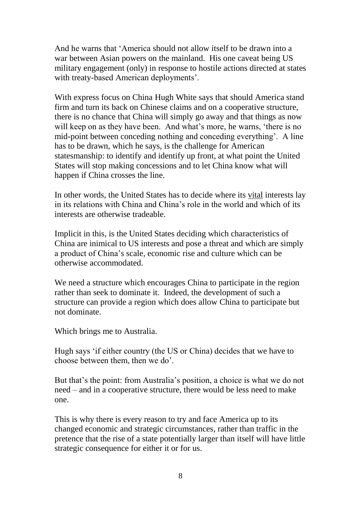And he warns that 'America should not allow itself to be drawn into a war between Asian powers on the mainland. His one caveat being US military engagement (only) in response to hostile actions directed at states with treaty-based American deployments'.

With express focus on China Hugh White says that should America stand firm and turn its back on Chinese claims and on a cooperative structure, there is no chance that China will simply go away and that things as now will keep on as they have been. And what's more, he warns, 'there is no mid-point between conceding nothing and conceding everything'. A line has to be drawn, which he says, is the challenge for American statesmanship: to identify and identify up front, at what point the United States will stop making concessions and to let China know what will happen if China crosses the line.

In other words, the United States has to decide where its vital interests lay in its relations with China and China's role in the world and which of its interests are otherwise tradeable.

Implicit in this, is the United States deciding which characteristics of China are inimical to US interests and pose a threat and which are simply a product of China's scale, economic rise and culture which can be otherwise accommodated.

We need a structure which encourages China to participate in the region rather than seek to dominate it. Indeed, the development of such a structure can provide a region which does allow China to participate but not dominate.

Which brings me to Australia.

Hugh says 'if either country (the US or China) decides that we have to choose between them, then we do'.

But that's the point: from Australia's position, a choice is what we do not need – and in a cooperative structure, there would be less need to make one.

This is why there is every reason to try and face America up to its changed economic and strategic circumstances, rather than traffic in the pretence that the rise of a state potentially larger than itself will have little strategic consequence for either it or for us.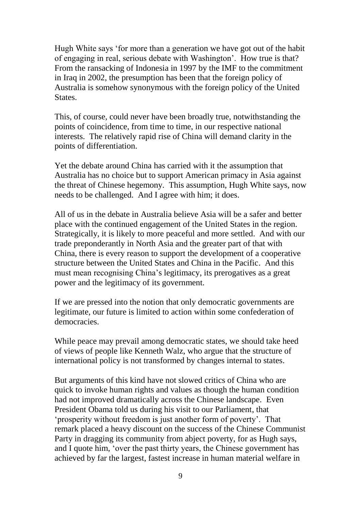Hugh White says 'for more than a generation we have got out of the habit of engaging in real, serious debate with Washington'. How true is that? From the ransacking of Indonesia in 1997 by the IMF to the commitment in Iraq in 2002, the presumption has been that the foreign policy of Australia is somehow synonymous with the foreign policy of the United States.

This, of course, could never have been broadly true, notwithstanding the points of coincidence, from time to time, in our respective national interests. The relatively rapid rise of China will demand clarity in the points of differentiation.

Yet the debate around China has carried with it the assumption that Australia has no choice but to support American primacy in Asia against the threat of Chinese hegemony. This assumption, Hugh White says, now needs to be challenged. And I agree with him; it does.

All of us in the debate in Australia believe Asia will be a safer and better place with the continued engagement of the United States in the region. Strategically, it is likely to more peaceful and more settled. And with our trade preponderantly in North Asia and the greater part of that with China, there is every reason to support the development of a cooperative structure between the United States and China in the Pacific. And this must mean recognising China's legitimacy, its prerogatives as a great power and the legitimacy of its government.

If we are pressed into the notion that only democratic governments are legitimate, our future is limited to action within some confederation of democracies.

While peace may prevail among democratic states, we should take heed of views of people like Kenneth Walz, who argue that the structure of international policy is not transformed by changes internal to states.

But arguments of this kind have not slowed critics of China who are quick to invoke human rights and values as though the human condition had not improved dramatically across the Chinese landscape. Even President Obama told us during his visit to our Parliament, that 'prosperity without freedom is just another form of poverty'. That remark placed a heavy discount on the success of the Chinese Communist Party in dragging its community from abject poverty, for as Hugh says, and I quote him, 'over the past thirty years, the Chinese government has achieved by far the largest, fastest increase in human material welfare in